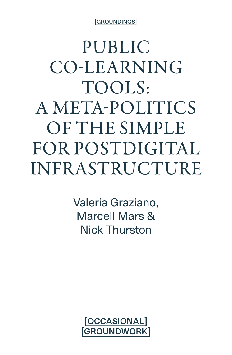[GROUNDINGS]

PUBLIC CO-LEARNING TOOLS: A META-POLITICS OF THE SIMPLE FOR POSTDIGITAL INFRASTRUCTURE

> Valeria Graziano, Marcell Mars & Nick Thurston

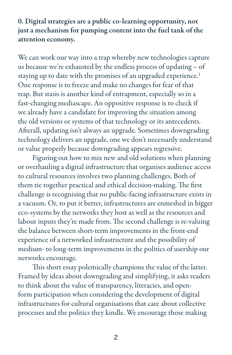0. Digital strategies are a public co-learning opportunity, not just a mechanism for pumping content into the fuel tank of the attention economy.

We can work our way into a trap whereby new technologies capture us because we're exhausted by the endless process of updating – of staying up to date with the promises of an upgraded experience.<sup>1</sup> One response is to freeze and make no changes for fear of that trap. But stasis is another kind of entrapment, especially so in a fast-changing mediascape. An oppositive response is to check if we already have a candidate for improving the situation among the old versions or systems of that technology or its antecedents. Afterall, updating isn't always an upgrade. Sometimes downgrading technology delivers an upgrade, one we don't necessarily understand or value properly because downgrading appears regressive.

Figuring out how to mix new and old solutions when planning or overhauling a digital infrastructure that organises audience access to cultural resources involves two planning challenges. Both of them tie together practical and ethical decision-making. The first challenge is recognising that no public-facing infrastructure exists in a vacuum. Or, to put it better, infrastructures are enmeshed in bigger eco-systems by the networks they host as well as the resources and labour inputs they're made from. The second challenge is re-valuing the balance between short-term improvements in the front-end experience of a networked infrastructure and the possibility of medium- to long-term improvements in the politics of usership our networks encourage.

This short essay polemically champions the value of the latter. Framed by ideas about downgrading and simplifying, it asks readers to think about the value of transparency, literacies, and openform participation when considering the development of digital infrastructures for cultural organisations that care about collective processes and the politics they kindle. We encourage those making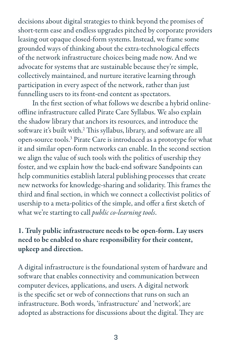decisions about digital strategies to think beyond the promises of short-term ease and endless upgrades pitched by corporate providers leasing out opaque closed-form systems. Instead, we frame some grounded ways of thinking about the extra-technological effects of the network infrastructure choices being made now. And we advocate for systems that are sustainable because they're simple, collectively maintained, and nurture iterative learning through participation in every aspect of the network, rather than just funnelling users to its front-end content as spectators.

In the first section of what follows we describe a hybrid onlineoffline infrastructure called Pirate Care Syllabus. We also explain the shadow library that anchors its resources, and introduce the software it's built with.2 This syllabus, library, and software are all open-source tools.<sup>3</sup> Pirate Care is introduced as a prototype for what it and similar open-form networks can enable. In the second section we align the value of such tools with the politics of usership they foster, and we explain how the back-end software Sandpoints can help communities establish lateral publishing processes that create new networks for knowledge-sharing and solidarity. This frames the third and final section, in which we connect a collectivist politics of usership to a meta-politics of the simple, and offer a first sketch of what we're starting to call *public co-learning tools*.

## 1. Truly public infrastructure needs to be open-form. Lay users need to be enabled to share responsibility for their content, upkeep and direction.

A digital infrastructure is the foundational system of hardware and software that enables connectivity and communication between computer devices, applications, and users. A digital network is the specific set or web of connections that runs on such an infrastructure. Both words, 'infrastructure' and 'network', are adopted as abstractions for discussions about the digital. They are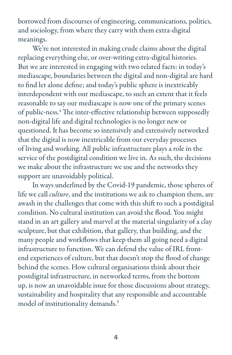borrowed from discourses of engineering, communications, politics, and sociology, from where they carry with them extra-digital meanings.

We're not interested in making crude claims about the digital replacing everything else, or over-writing extra-digital histories. But we are interested in engaging with two related facts: in today's mediascape, boundaries between the digital and non-digital are hard to find let alone define; and today's public sphere is inextricably interdependent with our mediascape, to such an extent that it feels reasonable to say our mediascape is now one of the primary scenes of public-ness.4 The inter-effective relationship between supposedly non-digital life and digital technologies is no longer new or questioned. It has become so intensively and extensively networked that the digital is now inextricable from our everyday processes of living and working. All public infrastructure plays a role in the service of the postdigital condition we live in. As such, the decisions we make about the infrastructure we use and the networks they support are unavoidably political.

In ways underlined by the Covid-19 pandemic, those spheres of life we call *culture*, and the institutions we ask to champion them, are awash in the challenges that come with this shift to such a postdigital condition. No cultural institution can avoid the flood. You might stand in an art gallery and marvel at the material singularity of a clay sculpture, but that exhibition, that gallery, that building, and the many people and workflows that keep them all going need a digital infrastructure to function. We can defend the value of IRL frontend experiences of culture, but that doesn't stop the flood of change behind the scenes. How cultural organisations think about their postdigital infrastructure, in networked terms, from the bottom up, is now an unavoidable issue for those discussions about strategy, sustainability and hospitality that any responsible and accountable model of institutionality demands.5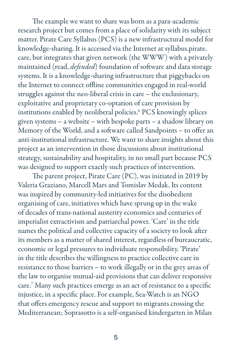The example we want to share was born as a para-academic research project but comes from a place of solidarity with its subject matter. Pirate Care Syllabus (PCS) is a new infrastructural model for knowledge-sharing. It is accessed via the Internet at syllabus.pirate. care, but integrates that given network (the WWW) with a privately maintained (read, *defended*) foundation of software and data storage systems. It is a knowledge-sharing infrastructure that piggybacks on the Internet to connect offline communities engaged in real-world struggles against the neo-liberal crisis in care – the exclusionary, exploitative and proprietary co-optation of care provision by institutions enabled by neoliberal policies.6 PCS knowingly splices given systems – a website – with bespoke parts – a shadow library on Memory of the World, and a software called Sandpoints – to offer an anti-institutional infrastructure. We want to share insights about this project as an intervention in those discussions about institutional strategy, sustainability and hospitality, in no small part because PCS was designed to support exactly such practices of intervention.

The parent project, Pirate Care (PC), was initiated in 2019 by Valeria Graziano, Marcell Mars and Tomislav Medak. Its content was inspired by community-led initiatives for the disobedient organising of care, initiatives which have sprung up in the wake of decades of trans-national austerity economics and centuries of imperialist extractivism and patriarchal power. 'Care' in the title names the political and collective capacity of a society to look after its members as a matter of shared interest, regardless of bureaucratic, economic or legal pressures to individuate responsibility. 'Pirate' in the title describes the willingness to practice collective care in resistance to those barriers – to work illegally or in the grey areas of the law to organise mutual-aid provisions that can deliver responsive care.7 Many such practices emerge as an act of resistance to a specific injustice, in a specific place. For example, Sea-Watch is an NGO that offers emergency rescue and support to migrants crossing the Mediterranean; Soprasotto is a self-organised kindergarten in Milan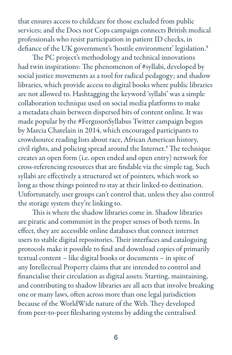that ensures access to childcare for those excluded from public services; and the Docs not Cops campaign connects British medical professionals who resist participation in patient ID checks, in defiance of the UK government's 'hostile environment' legislation.<sup>8</sup>

The PC project's methodology and technical innovations had twin inspirations: The phenomenon of #syllabi, developed by social justice movements as a tool for radical pedagogy; and shadow libraries, which provide access to digital books where public libraries are not allowed to. Hashtagging the keyword 'syllabi' was a simple collaboration technique used on social media platforms to make a metadata chain between dispersed bits of content online. It was made popular by the #FergusonSyllabus Twitter campaign begun by Marcia Chatelain in 2014, which encouraged participants to crowdsource reading lists about race, African American history, civil rights, and policing spread around the Internet.9 The technique creates an open form (i.e. open ended and open entry) network for cross-referencing resources that are findable via the simple tag. Such syllabi are effectively a structured set of pointers, which work so long as those things pointed to stay at their linked-to destination. Unfortunately, user groups can't control that, unless they also control the storage system they're linking to.

This is where the shadow libraries come in. Shadow libraries are piratic and communist in the proper senses of both terms. In effect, they are accessible online databases that connect internet users to stable digital repositories. Their interfaces and cataloguing protocols make it possible to find and download copies of primarily textual content – like digital books or documents – in spite of any Intellectual Property claims that are intended to control and financialise their circulation as digital assets. Starting, maintaining, and contributing to shadow libraries are all acts that involve breaking one or many laws, often across more than one legal jurisdiction because of the WorldWide nature of the Web. They developed from peer-to-peer filesharing systems by adding the centralised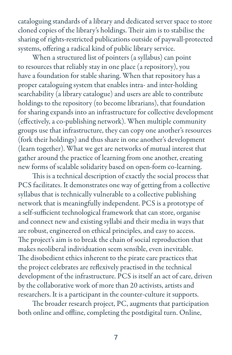cataloguing standards of a library and dedicated server space to store cloned copies of the library's holdings. Their aim is to stabilise the sharing of rights-restricted publications outside of paywall-protected systems, offering a radical kind of public library service.

When a structured list of pointers (a syllabus) can point to resources that reliably stay in one place (a repository), you have a foundation for stable sharing. When that repository has a proper cataloguing system that enables intra- and inter-holding searchability (a library catalogue) and users are able to contribute holdings to the repository (to become librarians), that foundation for sharing expands into an infrastructure for collective development (effectively, a co-publishing network). When multiple community groups use that infrastructure, they can copy one another's resources (fork their holdings) and thus share in one another's development (learn together). What we get are networks of mutual interest that gather around the practice of learning from one another, creating new forms of scalable solidarity based on open-form co-learning.

This is a technical description of exactly the social process that PCS facilitates. It demonstrates one way of getting from a collective syllabus that is technically vulnerable to a collective publishing network that is meaningfully independent. PCS is a prototype of a self-sufficient technological framework that can store, organise and connect new and existing syllabi and their media in ways that are robust, engineered on ethical principles, and easy to access. The project's aim is to break the chain of social reproduction that makes neoliberal individuation seem sensible, even inevitable. The disobedient ethics inherent to the pirate care practices that the project celebrates are reflexively practised in the technical development of the infrastructure. PCS is itself an act of care, driven by the collaborative work of more than 20 activists, artists and researchers. It is a participant in the counter-culture it supports.

The broader research project, PC, augments that participation both online and offline, completing the postdigital turn. Online,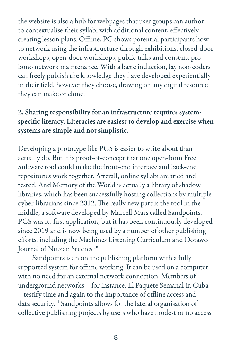the website is also a hub for webpages that user groups can author to contextualise their syllabi with additional content, effectively creating lesson plans. Offline, PC shows potential participants how to network using the infrastructure through exhibitions, closed-door workshops, open-door workshops, public talks and constant pro bono network maintenance. With a basic induction, lay non-coders can freely publish the knowledge they have developed experientially in their field, however they choose, drawing on any digital resource they can make or clone.

## 2. Sharing responsibility for an infrastructure requires systemspecific literacy. Literacies are easiest to develop and exercise when systems are simple and not simplistic.

Developing a prototype like PCS is easier to write about than actually do. But it is proof-of-concept that one open-form Free Software tool could make the front-end interface and back-end repositories work together. Afterall, online syllabi are tried and tested. And Memory of the World is actually a library of shadow libraries, which has been successfully hosting collections by multiple cyber-librarians since 2012. The really new part is the tool in the middle, a software developed by Marcell Mars called Sandpoints. PCS was its first application, but it has been continuously developed since 2019 and is now being used by a number of other publishing efforts, including the Machines Listening Curriculum and Dotawo: Journal of Nubian Studies.<sup>10</sup>

Sandpoints is an online publishing platform with a fully supported system for offline working. It can be used on a computer with no need for an external network connection. Members of underground networks – for instance, El Paquete Semanal in Cuba – testify time and again to the importance of offline access and data security.11 Sandpoints allows for the lateral organisation of collective publishing projects by users who have modest or no access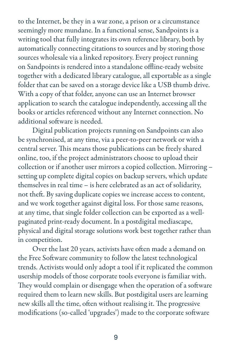to the Internet, be they in a war zone, a prison or a circumstance seemingly more mundane. In a functional sense, Sandpoints is a writing tool that fully integrates its own reference library, both by automatically connecting citations to sources and by storing those sources wholesale via a linked repository. Every project running on Sandpoints is rendered into a standalone offline-ready website together with a dedicated library catalogue, all exportable as a single folder that can be saved on a storage device like a USB thumb drive. With a copy of that folder, anyone can use an Internet browser application to search the catalogue independently, accessing all the books or articles referenced without any Internet connection. No additional software is needed.

Digital publication projects running on Sandpoints can also be synchronised, at any time, via a peer-to-peer network or with a central server. This means those publications can be freely shared online, too, if the project administrators choose to upload their collection or if another user mirrors a copied collection. Mirroring – setting up complete digital copies on backup servers, which update themselves in real time – is here celebrated as an act of solidarity, not theft. By saving duplicate copies we increase access to content, and we work together against digital loss. For those same reasons, at any time, that single folder collection can be exported as a wellpaginated print-ready document. In a postdigital mediascape, physical and digital storage solutions work best together rather than in competition.

Over the last 20 years, activists have often made a demand on the Free Software community to follow the latest technological trends. Activists would only adopt a tool if it replicated the common usership models of those corporate tools everyone is familiar with. They would complain or disengage when the operation of a software required them to learn new skills. But postdigital users are learning new skills all the time, often without realising it. The progressive modifications (so-called 'upgrades') made to the corporate software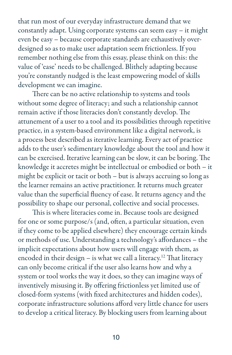that run most of our everyday infrastructure demand that we constantly adapt. Using corporate systems can seem easy – it might even be easy – because corporate standards are exhaustively overdesigned so as to make user adaptation seem frictionless. If you remember nothing else from this essay, please think on this: the value of 'ease' needs to be challenged. Blithely adapting because you're constantly nudged is the least empowering model of skills development we can imagine.

There can be no active relationship to systems and tools without some degree of literacy; and such a relationship cannot remain active if those literacies don't constantly develop. The attunement of a user to a tool and its possibilities through repetitive practice, in a system-based environment like a digital network, is a process best described as iterative learning. Every act of practice adds to the user's sedimentary knowledge about the tool and how it can be exercised. Iterative learning can be slow, it can be boring. The knowledge it accretes might be intellectual or embodied or both – it might be explicit or tacit or both – but is always accruing so long as the learner remains an active practitioner. It returns much greater value than the superficial fluency of ease. It returns agency and the possibility to shape our personal, collective and social processes.

This is where literacies come in. Because tools are designed for one or some purpose/s (and, often, a particular situation, even if they come to be applied elsewhere) they encourage certain kinds or methods of use. Understanding a technology's affordances – the implicit expectations about how users will engage with them, as encoded in their design  $-$  is what we call a literacy.<sup>12</sup> That literacy can only become critical if the user also learns how and why a system or tool works the way it does, so they can imagine ways of inventively misusing it. By offering frictionless yet limited use of closed-form systems (with fixed architectures and hidden codes), corporate infrastructure solutions afford very little chance for users to develop a critical literacy. By blocking users from learning about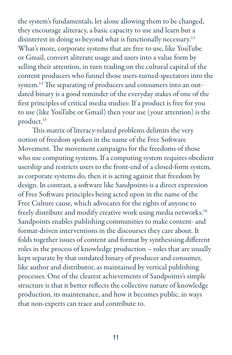the system's fundamentals, let alone allowing them to be changed, they encourage aliteracy, a basic capacity to use and learn but a disinterest in doing so beyond what is functionally necessary.<sup>13</sup> What's more, corporate systems that are free to use, like YouTube or Gmail, convert aliterate usage and users into a value form by selling their attention, in turn trading on the cultural capital of the content producers who funnel those users-turned-spectators into the system.<sup>14</sup> The separating of producers and consumers into an outdated binary is a good reminder of the everyday stakes of one of the first principles of critical media studies: If a product is free for you to use (like YouTube or Gmail) then your use (your attention) is the product.15

This matrix of literacy-related problems delimits the very notion of freedom spoken in the name of the Free Software Movement. The movement campaigns for the freedoms of those who use computing systems. If a computing system requires obedient usership and restricts users to the front-end of a closed-form system, as corporate systems do, then it is acting against that freedom by design. In contrast, a software like Sandpoints is a direct expression of Free Software principles being acted upon in the name of the Free Culture cause, which advocates for the rights of anyone to freely distribute and modify creative work using media networks.<sup>16</sup> Sandpoints enables publishing communities to make content- and format-driven interventions in the discourses they care about. It folds together issues of content and format by synthesising different roles in the process of knowledge production – roles that are usually kept separate by that outdated binary of producer and consumer, like author and distributor, as maintained by vertical publishing processes. One of the clearest achievements of Sandpoints's simple structure is that it better reflects the collective nature of knowledge production, its maintenance, and how it becomes public, in ways that non-experts can trace and contribute to.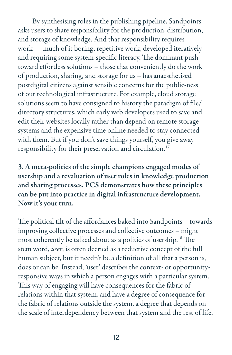By synthesising roles in the publishing pipeline, Sandpoints asks users to share responsibility for the production, distribution, and storage of knowledge. And that responsibility requires work — much of it boring, repetitive work, developed iteratively and requiring some system-specific literacy. The dominant push toward effortless solutions – those that conveniently do the work of production, sharing, and storage for us – has anaesthetised postdigital citizens against sensible concerns for the public-ness of our technological infrastructure. For example, cloud storage solutions seem to have consigned to history the paradigm of file/ directory structures, which early web developers used to save and edit their websites locally rather than depend on remote storage systems and the expensive time online needed to stay connected with them. But if you don't save things yourself, you give away responsibility for their preservation and circulation.<sup>17</sup>

3. A meta-politics of the simple champions engaged modes of usership and a revaluation of user roles in knowledge production and sharing processes. PCS demonstrates how these principles can be put into practice in digital infrastructure development. Now it's your turn.

The political tilt of the affordances baked into Sandpoints – towards improving collective processes and collective outcomes – might most coherently be talked about as a politics of usership.18 The stem word, *user*, is often decried as a reductive concept of the full human subject, but it needn't be a definition of all that a person is, does or can be. Instead, 'user' describes the context- or opportunityresponsive ways in which a person engages with a particular system. This way of engaging will have consequences for the fabric of relations within that system, and have a degree of consequence for the fabric of relations outside the system, a degree that depends on the scale of interdependency between that system and the rest of life.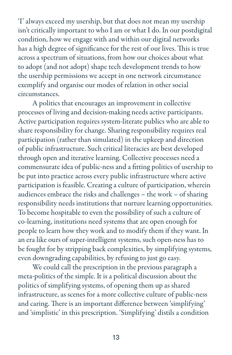'I' always exceed my usership, but that does not mean my usership isn't critically important to who I am or what I do. In our postdigital condition, how we engage with and within our digital networks has a high degree of significance for the rest of our lives. This is true across a spectrum of situations, from how our choices about what to adopt (and not adopt) shape tech development trends to how the usership permissions we accept in one network circumstance exemplify and organise our modes of relation in other social circumstances.

A politics that encourages an improvement in collective processes of living and decision-making needs active participants. Active participation requires system-literate publics who are able to share responsibility for change. Sharing responsibility requires real participation (rather than simulated) in the upkeep and direction of public infrastructure. Such critical literacies are best developed through open and iterative learning. Collective processes need a commensurate idea of public-ness and a fitting politics of usership to be put into practice across every public infrastructure where active participation is feasible. Creating a culture of participation, wherein audiences embrace the risks and challenges – the work – of sharing responsibility needs institutions that nurture learning opportunities. To become hospitable to even the possibility of such a culture of co-learning, institutions need systems that are open enough for people to learn how they work and to modify them if they want. In an era like ours of super-intelligent systems, such open-ness has to be fought for by stripping back complexities, by simplifying systems, even downgrading capabilities, by refusing to just go easy.

We could call the prescription in the previous paragraph a meta-politics of the simple. It is a political discussion about the politics of simplifying systems, of opening them up as shared infrastructure, as scenes for a more collective culture of public-ness and caring. There is an important difference between 'simplifying' and 'simplistic' in this prescription. 'Simplifying' distils a condition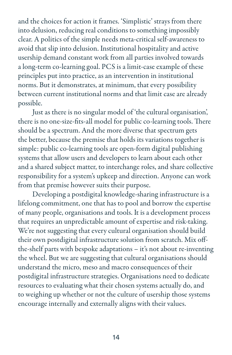and the choices for action it frames. 'Simplistic' strays from there into delusion, reducing real conditions to something impossibly clear. A politics of the simple needs meta-critical self-awareness to avoid that slip into delusion. Institutional hospitality and active usership demand constant work from all parties involved towards a long-term co-learning goal. PCS is a limit-case example of these principles put into practice, as an intervention in institutional norms. But it demonstrates, at minimum, that every possibility between current institutional norms and that limit case are already possible.

Just as there is no singular model of 'the cultural organisation', there is no one-size-fits-all model for public co-learning tools. There should be a spectrum. And the more diverse that spectrum gets the better, because the premise that holds its variations together is simple: public co-learning tools are open-form digital publishing systems that allow users and developers to learn about each other and a shared subject matter, to interchange roles, and share collective responsibility for a system's upkeep and direction. Anyone can work from that premise however suits their purpose.

Developing a postdigital knowledge-sharing infrastructure is a lifelong commitment, one that has to pool and borrow the expertise of many people, organisations and tools. It is a development process that requires an unpredictable amount of expertise and risk-taking. We're not suggesting that every cultural organisation should build their own postdigital infrastructure solution from scratch. Mix offthe-shelf parts with bespoke adaptations – it's not about re-inventing the wheel. But we are suggesting that cultural organisations should understand the micro, meso and macro consequences of their postdigital infrastructure strategies. Organisations need to dedicate resources to evaluating what their chosen systems actually do, and to weighing up whether or not the culture of usership those systems encourage internally and externally aligns with their values.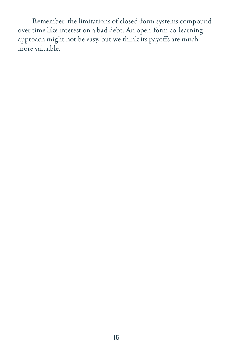Remember, the limitations of closed-form systems compound over time like interest on a bad debt. An open-form co-learning approach might not be easy, but we think its payoffs are much more valuable.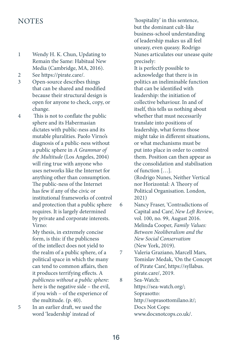## **NOTES**

- 1 Wendy H. K. Chun, Updating to Remain the Same: Habitual New Media (Cambridge, MA, 2016).
- 2 See https://pirate.care/.
- 3 Open-source describes things that can be shared and modified because their structural design is open for anyone to check, copy, or change.
- 4 This is not to conflate the public sphere and its Habermasian dictates with public-ness and its mutable pluralities. Paolo Virno's diagnosis of a public-ness without a public sphere in *A Grammar of the Multitude* (Los Angeles, 2004) will ring true with anyone who uses networks like the Internet for anything other than consumption. The public-ness of the Internet has few if any of the civic or institutional frameworks of control and protection that a public sphere requires. It is largely determined by private and corporate interests. Virno:

My thesis, in extremely concise form, is this: if the publicness of the intellect does not yield to the realm of a public sphere, of a political space in which the many can tend to common affairs, then it produces terrifying effects. A *publicness without a public sphere*: here is the negative side – the evil, if you wish – of the experience of the multitude. (p. 40).

5 In an earlier draft, we used the word 'leadership' instead of

'hospitality' in this sentence, but the dominant cult-like business-school understanding of leadership makes us all feel uneasy, even queasy. Rodrigo Nunes articulates our unease quite precisely: It is perfectly possible to acknowledge that there is in politics an ineliminable function that can be identified with leadership: the initiation of collective behaviour. In and of itself, this tells us nothing about whether that must necessarily translate into positions of leadership, what forms those might take in different situations, or what mechanisms must be put into place in order to control them. Position can then appear as the consolidation and stabilisation of function […]. (Rodrigo Nunes, Neither Vertical nor Horizontal: A Theory of Political Organisation. London, 2021)

- 6 Nancy Fraser, 'Contradictions of Capital and Care', *New Left Review*, vol. 100, no. 99, August 2016. Melinda Cooper, *Family Values: Between Neoliberalism and the New Social Conservatism* (New York, 2019).
- 7 Valeria Graziano, Marcell Mars, Tomislav Medak, 'On the Concept of Pirate Care', https://syllabus. pirate.care/, 2019.

8 Sea-Watch: https://sea-watch.org/; Soprasotto: http://soprasottomilano.it/; Docs Not Cops: www.docsnotcops.co.uk/.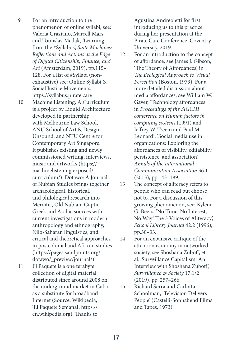- 9 For an introduction to the phenomenon of online syllabi, see: Valeria Graziano, Marcell Mars and Tomislav Medak, 'Learning from the #Syllabus', *State Machines: Reflections and Actions at the Edge of Digital Citizenship, Finance, and Art* (Amsterdam, 2019), pp.115– 128. For a list of #Syllabi (nonexhaustive) see: Online Syllabi & Social Justice Movements, https://syllabus.pirate.care 10 Machine Listening, A Curriculum is a project by Liquid Architecture developed in partnership with Melbourne Law School, ANU School of Art & Design, Unsound, and NTU Centre for Contemporary Art Singapore. It publishes existing and newly commissioned writing, interviews, music and artworks (https:// machinelistening.exposed/ curriculum/). Dotawo: A Journal of Nubian Studies brings together archaeological, historical, and philological research into Meroitic, Old Nubian, Coptic, Greek and Arabic sources with current investigations in modern anthropology and ethnography, Nilo-Saharan linguistics, and critical and theoretical approaches in postcolonial and African studies (https://pages.sandpoints.org/ dotawo/\_preview/journal/).
- 11 El Paquete is a one terabyte collection of digital material distributed since around 2008 on the underground market in Cuba as a substitute for broadband Internet (Source: Wikipedia, 'El Paquete Semanal', https:// en.wikipedia.org). Thanks to

Agustina Andreoletti for first introducing us to this practice during her presentation at the Pirate Care Conference, Coventry University, 2019.

- 12 For an introduction to the concept of affordance, see James J. Gibson, 'The Theory of Affordances', in *The Ecological Approach to Visual Perception* (Boston, 1979). For a more detailed discussion about media affordances, see William W. Gaver, 'Technology affordances' in *Proceedings of the SIGCHI conference on Human factors in computing systems* (1991) and Jeffrey W. Treem and Paul M. Leonardi. 'Social media use in organizations: Exploring the affordances of visibility, editability, persistence, and association', *Annals of the International Communication Association* 36.1 (2013), pp.143–189.
- 13 The concept of aliteracy refers to people who can read but choose not to. For a discussion of this growing phenomenon, see: Kylene G. Beers, 'No Time, No Interest, No Way! The 3 Voices of Aliteracy', *School Library Journal* 42.2 (1996), pp.30–33.
- 14 For an expansive critique of the attention economy in networked society, see Shoshana Zuboff, et al. 'Surveillance Capitalism: An Interview with Shoshana Zuboff', *Surveillance & Society* 17.1/2 (2019), pp. 257–266.
- 15 Richard Serra and Carlotta Schoolman, 'Television Delivers People' (Castelli-Sonnabend Films and Tapes, 1973).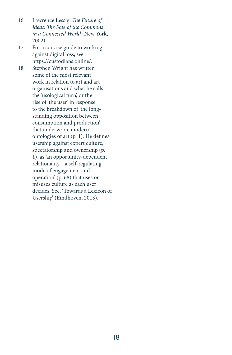- 16 Lawrence Lessig, *The Future of Ideas: The Fate of the Commons in a Connected World* (New York, 2002).
- 17 For a concise guide to working against digital loss, see: https://custodians.online/.
- 18 Stephen Wright has written some of the most relevant work in relation to art and art organisations and what he calls the 'usological turn', or the rise of 'the user' in response to the breakdown of 'the longstanding opposition between consumption and production' that underwrote modern ontologies of art (p. 1). He defines usership against expert culture, spectatorship and ownership (p. 1), as 'an opportunity-dependent relationality…a self-regulating mode of engagement and operation' (p. 68) that uses or misuses culture as each user decides. See, 'Towards a Lexicon of Usership' (Eindhoven, 2013).